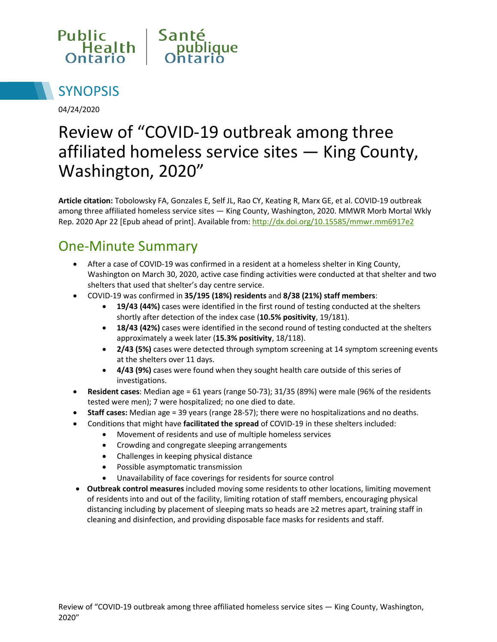



04/24/2020

# Review of "COVID-19 outbreak among three affiliated homeless service sites — King County, Washington, 2020"

**Article citation:** Tobolowsky FA, Gonzales E, Self JL, Rao CY, Keating R, Marx GE, et al. COVID-19 outbreak among three affiliated homeless service sites — King County, Washington, 2020. MMWR Morb Mortal Wkly Rep. 2020 Apr 22 [Epub ahead of print]. Available from:<http://dx.doi.org/10.15585/mmwr.mm6917e2>

#### One-Minute Summary

- After a case of COVID-19 was confirmed in a resident at a homeless shelter in King County, Washington on March 30, 2020, active case finding activities were conducted at that shelter and two shelters that used that shelter's day centre service.
- COVID-19 was confirmed in **35/195 (18%) residents** and **8/38 (21%) staff members**:
	- **19/43 (44%)** cases were identified in the first round of testing conducted at the shelters shortly after detection of the index case (**10.5% positivity**, 19/181).
	- **18/43 (42%)** cases were identified in the second round of testing conducted at the shelters approximately a week later (**15.3% positivity**, 18/118).
	- **2/43 (5%)** cases were detected through symptom screening at 14 symptom screening events at the shelters over 11 days.
	- **4/43 (9%)** cases were found when they sought health care outside of this series of investigations.
- **Resident cases**: Median age = 61 years (range 50-73); 31/35 (89%) were male (96% of the residents tested were men); 7 were hospitalized; no one died to date.
- **Staff cases:** Median age = 39 years (range 28-57); there were no hospitalizations and no deaths.
- Conditions that might have **facilitated the spread** of COVID-19 in these shelters included:
	- Movement of residents and use of multiple homeless services
	- Crowding and congregate sleeping arrangements
	- Challenges in keeping physical distance
	- Possible asymptomatic transmission
	- Unavailability of face coverings for residents for source control
- **Outbreak control measures** included moving some residents to other locations, limiting movement of residents into and out of the facility, limiting rotation of staff members, encouraging physical distancing including by placement of sleeping mats so heads are ≥2 metres apart, training staff in cleaning and disinfection, and providing disposable face masks for residents and staff.